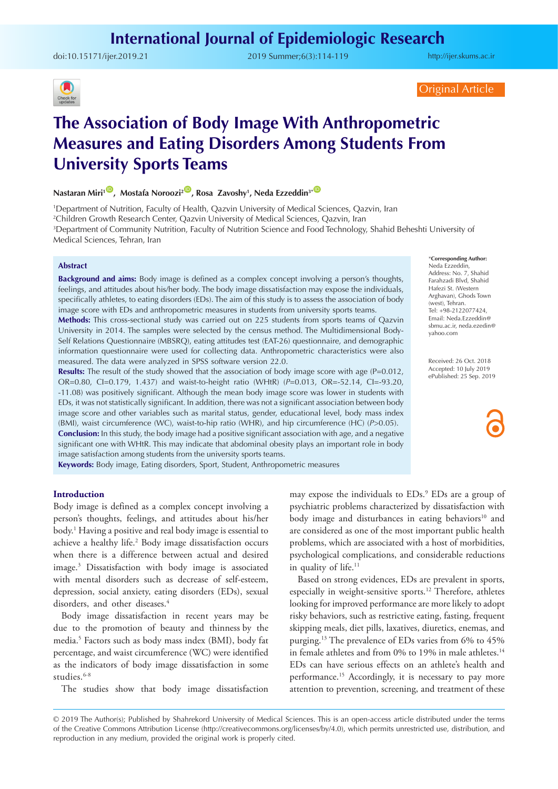# **International Journal of Epidemiologic Research**

doi:10.15171/ijer.2019.21 2019 Summer;6(3):114-119

<http://ijer.skums.ac.ir>



Original Article

# **The Association of Body Image With Anthropometric Measures and Eating Disorders Among Students From University Sports Teams**

**Nastaran Miri<sup>10</sup>, Mostafa Noroozi<sup>200</sup>, Rosa Zavoshy<sup>1</sup>, Neda Ezzeddin<sup>3\*</sub><sup>1</sup>**</sup>

 Department of Nutrition, Faculty of Health, Qazvin University of Medical Sciences, Qazvin, Iran Children Growth Research Center, Qazvin University of Medical Sciences, Qazvin, Iran Department of Community Nutrition, Faculty of Nutrition Science and Food Technology, Shahid Beheshti University of Medical Sciences, Tehran, Iran

#### **Abstract**

**Background and aims:** Body image is defined as a complex concept involving a person's thoughts, feelings, and attitudes about his/her body. The body image dissatisfaction may expose the individuals, specifically athletes, to eating disorders (EDs). The aim of this study is to assess the association of body image score with EDs and anthropometric measures in students from university sports teams.

**Methods:** This cross-sectional study was carried out on 225 students from sports teams of Qazvin University in 2014. The samples were selected by the census method. The Multidimensional Body-Self Relations Questionnaire (MBSRQ), eating attitudes test (EAT-26) questionnaire, and demographic information questionnaire were used for collecting data. Anthropometric characteristics were also measured. The data were analyzed in SPSS software version 22.0.

**Results:** The result of the study showed that the association of body image score with age (P=0.012, OR=0.80, CI=0.179, 1.437) and waist-to-height ratio (WHtR) (*P*=0.013, OR=-52.14, CI=-93.20, -11.08) was positively significant. Although the mean body image score was lower in students with EDs, it was not statistically significant. In addition, there was not a significant association between body image score and other variables such as marital status, gender, educational level, body mass index (BMI), waist circumference (WC), waist-to-hip ratio (WHR), and hip circumference (HC) (*P*>0.05). **Conclusion:** In this study, the body image had a positive significant association with age, and a negative significant one with WHtR. This may indicate that abdominal obesity plays an important role in body image satisfaction among students from the university sports teams.

**Keywords:** Body image, Eating disorders, Sport, Student, Anthropometric measures

#### **Introduction**

Body image is defined as a complex concept involving a person's thoughts, feelings, and attitudes about his/her body.1 Having a positive and real body image is essential to achieve a healthy life.<sup>2</sup> Body image dissatisfaction occurs when there is a difference between actual and desired image.3 Dissatisfaction with body image is associated with mental disorders such as decrease of self-esteem, depression, social anxiety, eating disorders (EDs), sexual disorders, and other diseases.<sup>4</sup>

Body image dissatisfaction in recent years may be due to the promotion of beauty and thinness by the media.5 Factors such as body mass index (BMI), body fat percentage, and waist circumference (WC) were identified as the indicators of body image dissatisfaction in some studies.<sup>6-8</sup>

The studies show that body image dissatisfaction

may expose the individuals to EDs.<sup>9</sup> EDs are a group of psychiatric problems characterized by dissatisfaction with body image and disturbances in eating behaviors<sup>10</sup> and are considered as one of the most important public health problems, which are associated with a host of morbidities, psychological complications, and considerable reductions in quality of life.<sup>11</sup>

Based on strong evidences, EDs are prevalent in sports, especially in weight-sensitive sports.<sup>12</sup> Therefore, athletes looking for improved performance are more likely to adopt risky behaviors, such as restrictive eating, fasting, frequent skipping meals, diet pills, laxatives, diuretics, enemas, and purging.13 The prevalence of EDs varies from 6% to 45% in female athletes and from  $0\%$  to  $19\%$  in male athletes.<sup>14</sup> EDs can have serious effects on an athlete's health and performance.<sup>15</sup> Accordingly, it is necessary to pay more attention to prevention, screening, and treatment of these

#### \***Corresponding Author:**

Neda Ezzeddin, Address: No. 7, Shahid Farahzadi Blvd, Shahid Hafezi St. (Western Arghavan), Ghods Town (west), Tehran. Tel: +98-2122077424, Email: Neda.Ezzeddin@ sbmu.ac.ir, neda.ezedin@ yahoo.com

Received: 26 Oct. 2018 Accepted: 10 July 2019 ePublished: 25 Sep. 2019

<sup>© 2019</sup> The Author(s); Published by Shahrekord University of Medical Sciences. This is an open-access article distributed under the terms of the Creative Commons Attribution License (http://creativecommons.org/licenses/by/4.0), which permits unrestricted use, distribution, and reproduction in any medium, provided the original work is properly cited.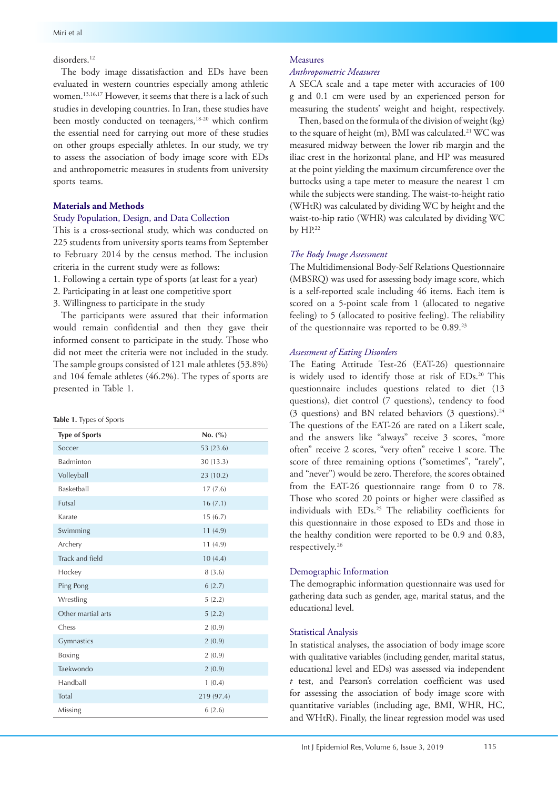# disorders.12

The body image dissatisfaction and EDs have been evaluated in western countries especially among athletic women.<sup>13,16,17</sup> However, it seems that there is a lack of such studies in developing countries. In Iran, these studies have been mostly conducted on teenagers,<sup>18-20</sup> which confirm the essential need for carrying out more of these studies on other groups especially athletes. In our study, we try to assess the association of body image score with EDs and anthropometric measures in students from university sports teams.

#### **Materials and Methods**

#### Study Population, Design, and Data Collection

This is a cross-sectional study, which was conducted on 225 students from university sports teams from September to February 2014 by the census method. The inclusion criteria in the current study were as follows:

- 1. Following a certain type of sports (at least for a year)
- 2. Participating in at least one competitive sport
- 3. Willingness to participate in the study

The participants were assured that their information would remain confidential and then they gave their informed consent to participate in the study. Those who did not meet the criteria were not included in the study. The sample groups consisted of 121 male athletes (53.8%) and 104 female athletes (46.2%). The types of sports are presented in Table 1.

| Table 1. Types of Sports |  |  |  |
|--------------------------|--|--|--|
|--------------------------|--|--|--|

| <b>Type of Sports</b> | No. (%)    |
|-----------------------|------------|
| Soccer                | 53 (23.6)  |
| Badminton             | 30 (13.3)  |
| Volleyball            | 23 (10.2)  |
| Basketball            | 17(7.6)    |
| Futsal                | 16(7.1)    |
| Karate                | 15(6.7)    |
| Swimming              | 11(4.9)    |
| Archery               | 11(4.9)    |
| Track and field       | 10(4.4)    |
| Hockey                | 8(3.6)     |
| Ping Pong             | 6(2.7)     |
| Wrestling             | 5(2.2)     |
| Other martial arts    | 5(2.2)     |
| Chess                 | 2(0.9)     |
| Gymnastics            | 2(0.9)     |
| Boxing                | 2(0.9)     |
| Taekwondo             | 2(0.9)     |
| Handball              | 1(0.4)     |
| Total                 | 219 (97.4) |
| Missing               | 6(2.6)     |

# Measures

#### *Anthropometric Measures*

A SECA scale and a tape meter with accuracies of 100 g and 0.1 cm were used by an experienced person for measuring the students' weight and height, respectively.

 Then, based on the formula of the division of weight (kg) to the square of height (m), BMI was calculated.21 WC was measured midway between the lower rib margin and the iliac crest in the horizontal plane, and HP was measured at the point yielding the maximum circumference over the buttocks using a tape meter to measure the nearest 1 cm while the subjects were standing. The waist-to-height ratio (WHtR) was calculated by dividing WC by height and the waist-to-hip ratio (WHR) was calculated by dividing WC by HP.22

#### *The Body Image Assessment*

The Multidimensional Body-Self Relations Questionnaire (MBSRQ) was used for assessing body image score, which is a self-reported scale including 46 items. Each item is scored on a 5-point scale from 1 (allocated to negative feeling) to 5 (allocated to positive feeling). The reliability of the questionnaire was reported to be 0.89.23

### *Assessment of Eating Disorders*

The Eating Attitude Test-26 (EAT-26) questionnaire is widely used to identify those at risk of EDs.<sup>20</sup> This questionnaire includes questions related to diet (13 questions), diet control (7 questions), tendency to food (3 questions) and BN related behaviors (3 questions).<sup>24</sup> The questions of the EAT-26 are rated on a Likert scale, and the answers like "always" receive 3 scores, "more often" receive 2 scores, "very often" receive 1 score. The score of three remaining options ("sometimes", "rarely", and "never") would be zero. Therefore, the scores obtained from the EAT-26 questionnaire range from 0 to 78. Those who scored 20 points or higher were classified as individuals with EDs.25 The reliability coefficients for this questionnaire in those exposed to EDs and those in the healthy condition were reported to be 0.9 and 0.83, respectively.26

# Demographic Information

The demographic information questionnaire was used for gathering data such as gender, age, marital status, and the educational level.

#### Statistical Analysis

In statistical analyses, the association of body image score with qualitative variables (including gender, marital status, educational level and EDs) was assessed via independent *t* test, and Pearson's correlation coefficient was used for assessing the association of body image score with quantitative variables (including age, BMI, WHR, HC, and WHtR). Finally, the linear regression model was used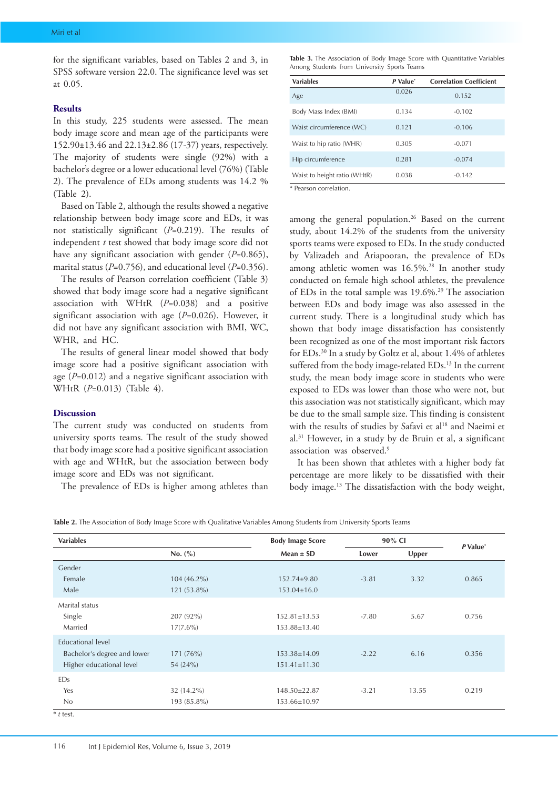for the significant variables, based on Tables 2 and 3, in SPSS software version 22.0. The significance level was set at 0.05.

### **Results**

In this study, 225 students were assessed. The mean body image score and mean age of the participants were 152.90±13.46 and 22.13±2.86 (17-37) years, respectively. The majority of students were single (92%) with a bachelor's degree or a lower educational level (76%) (Table 2). The prevalence of EDs among students was 14.2 % (Table 2).

Based on Table 2, although the results showed a negative relationship between body image score and EDs, it was not statistically significant (*P*=0.219). The results of independent *t* test showed that body image score did not have any significant association with gender (*P*=0.865), marital status (*P*=0.756), and educational level (*P*=0.356).

The results of Pearson correlation coefficient (Table 3) showed that body image score had a negative significant association with WHtR (*P*=0.038) and a positive significant association with age (*P*=0.026). However, it did not have any significant association with BMI, WC, WHR, and HC.

The results of general linear model showed that body image score had a positive significant association with age (*P*=0.012) and a negative significant association with WHtR (*P*=0.013) (Table 4).

#### **Discussion**

The current study was conducted on students from university sports teams. The result of the study showed that body image score had a positive significant association with age and WHtR, but the association between body image score and EDs was not significant.

The prevalence of EDs is higher among athletes than

**Table 3.** The Association of Body Image Score with Quantitative Variables Among Students from University Sports Teams

| <b>Variables</b>             | P Value* | <b>Correlation Coefficient</b> |  |  |
|------------------------------|----------|--------------------------------|--|--|
| Age                          | 0.026    | 0.152                          |  |  |
| Body Mass Index (BMI)        | 0.134    | $-0.102$                       |  |  |
| Waist circumference (WC)     | 0.121    | $-0.106$                       |  |  |
| Waist to hip ratio (WHR)     | 0.305    | $-0.071$                       |  |  |
| Hip circumference            | 0.281    | $-0.074$                       |  |  |
| Waist to height ratio (WHtR) | 0.038    | $-0.142$                       |  |  |

\* Pearson correlation.

among the general population.<sup>26</sup> Based on the current study, about 14.2% of the students from the university sports teams were exposed to EDs. In the study conducted by Valizadeh and Ariapooran, the prevalence of EDs among athletic women was 16.5%.<sup>28</sup> In another study conducted on female high school athletes, the prevalence of EDs in the total sample was 19.6%.29 The association between EDs and body image was also assessed in the current study. There is a longitudinal study which has shown that body image dissatisfaction has consistently been recognized as one of the most important risk factors for EDs.30 In a study by Goltz et al, about 1.4% of athletes suffered from the body image-related EDs.<sup>13</sup> In the current study, the mean body image score in students who were exposed to EDs was lower than those who were not, but this association was not statistically significant, which may be due to the small sample size. This finding is consistent with the results of studies by Safavi et al<sup>18</sup> and Naeimi et al.31 However, in a study by de Bruin et al, a significant association was observed.9

It has been shown that athletes with a higher body fat percentage are more likely to be dissatisfied with their body image.13 The dissatisfaction with the body weight,

**Table 2.** The Association of Body Image Score with Qualitative Variables Among Students from University Sports Teams

| <b>Variables</b>            |               | <b>Body Image Score</b> | 90% CI  |       |                      |
|-----------------------------|---------------|-------------------------|---------|-------|----------------------|
| No. (%)                     |               | $Mean \pm SD$           | Lower   | Upper | P Value <sup>*</sup> |
| Gender                      |               |                         |         |       |                      |
| Female                      | $104(46.2\%)$ | 152.74±9.80             | $-3.81$ | 3.32  | 0.865                |
| Male                        | $121(53.8\%)$ | $153.04 \pm 16.0$       |         |       |                      |
| Marital status              |               |                         |         |       |                      |
| Single                      | 207 (92%)     | $152.81 \pm 13.53$      | $-7.80$ | 5.67  | 0.756                |
| Married                     | $17(7.6\%)$   | 153.88±13.40            |         |       |                      |
| <b>Educational level</b>    |               |                         |         |       |                      |
| Bachelor's degree and lower | 171 (76%)     | $153.38 \pm 14.09$      | $-2.22$ | 6.16  | 0.356                |
| Higher educational level    | 54 (24%)      | $151.41 \pm 11.30$      |         |       |                      |
| <b>EDs</b>                  |               |                         |         |       |                      |
| Yes                         | 32 (14.2%)    | 148.50±22.87            | $-3.21$ | 13.55 | 0.219                |
| No                          | 193 (85.8%)   | 153.66±10.97            |         |       |                      |
| $*$ t test.                 |               |                         |         |       |                      |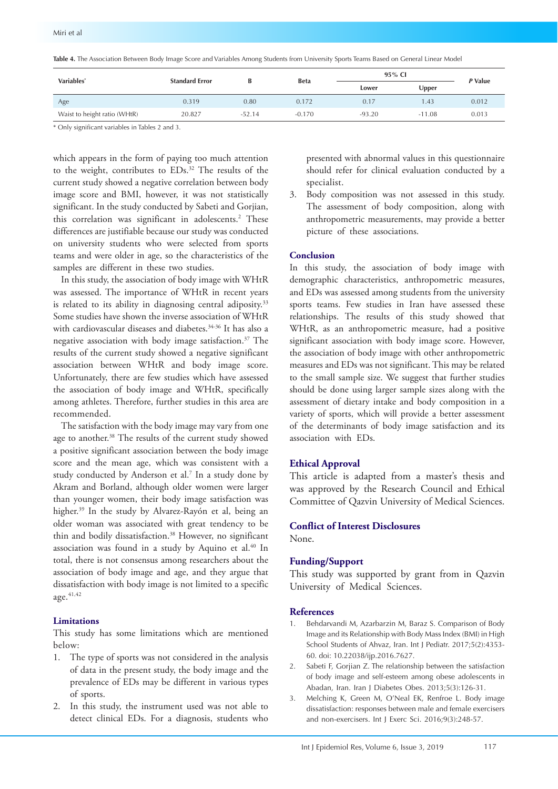**Table 4.** The Association Between Body Image Score and Variables Among Students from University Sports Teams Based on General Linear Model

| Variables*                   | <b>Standard Error</b> |          | <b>Beta</b> | 95% CI   |          | P Value |
|------------------------------|-----------------------|----------|-------------|----------|----------|---------|
|                              |                       |          |             | Lower    | Upper    |         |
| Age                          | 0.319                 | 0.80     | 0.172       | 0.17     | .43      | 0.012   |
| Waist to height ratio (WHtR) | 20.827                | $-52.14$ | $-0.170$    | $-93.20$ | $-11.08$ | 0.013   |
|                              |                       |          |             |          |          |         |

\* Only significant variables in Tables 2 and 3.

which appears in the form of paying too much attention to the weight, contributes to EDs.32 The results of the current study showed a negative correlation between body image score and BMI, however, it was not statistically significant. In the study conducted by Sabeti and Gorjian, this correlation was significant in adolescents.2 These differences are justifiable because our study was conducted on university students who were selected from sports teams and were older in age, so the characteristics of the samples are different in these two studies.

In this study, the association of body image with WHtR was assessed. The importance of WHtR in recent years is related to its ability in diagnosing central adiposity.<sup>33</sup> Some studies have shown the inverse association of WHtR with cardiovascular diseases and diabetes.34-36 It has also a negative association with body image satisfaction.37 The results of the current study showed a negative significant association between WHtR and body image score. Unfortunately, there are few studies which have assessed the association of body image and WHtR, specifically among athletes. Therefore, further studies in this area are recommended.

The satisfaction with the body image may vary from one age to another.<sup>38</sup> The results of the current study showed a positive significant association between the body image score and the mean age, which was consistent with a study conducted by Anderson et al.7 In a study done by Akram and Borland, although older women were larger than younger women, their body image satisfaction was higher.39 In the study by Alvarez-Rayón et al, being an older woman was associated with great tendency to be thin and bodily dissatisfaction. <sup>38</sup> However, no significant association was found in a study by Aquino et al. <sup>40</sup> In total, there is not consensus among researchers about the association of body image and age, and they argue that dissatisfaction with body image is not limited to a specific age. 41,42

# **Limitations**

This study has some limitations which are mentioned below:

- 1. The type of sports was not considered in the analysis of data in the present study, the body image and the prevalence of EDs may be different in various types of sports.
- 2. In this study, the instrument used was not able to detect clinical EDs. For a diagnosis, students who

presented with abnormal values in this questionnaire should refer for clinical evaluation conducted by a specialist.

3. Body composition was not assessed in this study. The assessment of body composition, along with anthropometric measurements, may provide a better picture of these associations.

# **Conclusion**

In this study, the association of body image with demographic characteristics, anthropometric measures, and EDs was assessed among students from the university sports teams. Few studies in Iran have assessed these relationships. The results of this study showed that WHtR, as an anthropometric measure, had a positive significant association with body image score. However, the association of body image with other anthropometric measures and EDs was not significant. This may be related to the small sample size. We suggest that further studies should be done using larger sample sizes along with the assessment of dietary intake and body composition in a variety of sports, which will provide a better assessment of the determinants of body image satisfaction and its association with EDs.

# **Ethical Approval**

This article is adapted from a master's thesis and was approved by the Research Council and Ethical Committee of Qazvin University of Medical Sciences.

# **Conflict of Interest Disclosures**

None.

### **Funding/Support**

This study was supported by grant from in Qazvin University of Medical Sciences.

### **References**

- 1. Behdarvandi M, Azarbarzin M, Baraz S. Comparison of Body Image and its Relationship with Body Mass Index (BMI) in High School Students of Ahvaz, Iran. Int J Pediatr. 2017;5(2):4353- 60. doi: 10.22038/ijp.2016.7627.
- 2. Sabeti F, Gorjian Z. The relationship between the satisfaction of body image and self-esteem among obese adolescents in Abadan, Iran. Iran J Diabetes Obes. 2013;5(3):126-31.
- 3. Melching K, Green M, O'Neal EK, Renfroe L. Body image dissatisfaction: responses between male and female exercisers and non-exercisers. Int J Exerc Sci. 2016;9(3):248-57.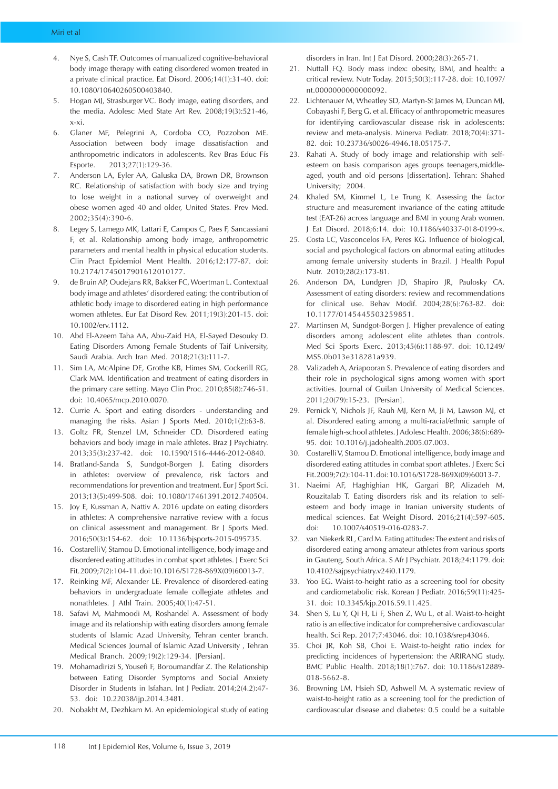- Nye S, Cash TF. Outcomes of manualized cognitive-behavioral body image therapy with eating disordered women treated in a private clinical practice. Eat Disord. 2006;14(1):31-40. doi: 10.1080/10640260500403840.
- 5. Hogan MJ, Strasburger VC. Body image, eating disorders, and the media. Adolesc Med State Art Rev. 2008;19(3):521-46, x-xi.
- 6. Glaner MF, Pelegrini A, Cordoba CO, Pozzobon ME. Association between body image dissatisfaction and anthropometric indicators in adolescents. Rev Bras Educ Fís Esporte. 2013;27(1):129-36.
- 7. Anderson LA, Eyler AA, Galuska DA, Brown DR, Brownson RC. Relationship of satisfaction with body size and trying to lose weight in a national survey of overweight and obese women aged 40 and older, United States. Prev Med. 2002;35(4):390-6.
- 8. Legey S, Lamego MK, Lattari E, Campos C, Paes F, Sancassiani F, et al. Relationship among body image, anthropometric parameters and mental health in physical education students. Clin Pract Epidemiol Ment Health. 2016;12:177-87. doi: 10.2174/1745017901612010177.
- 9. de Bruin AP, Oudejans RR, Bakker FC, Woertman L. Contextual body image and athletes' disordered eating: the contribution of athletic body image to disordered eating in high performance women athletes. Eur Eat Disord Rev. 2011;19(3):201-15. doi: 10.1002/erv.1112.
- 10. Abd El-Azeem Taha AA, Abu-Zaid HA, El-Sayed Desouky D. Eating Disorders Among Female Students of Taif University, Saudi Arabia. Arch Iran Med. 2018;21(3):111-7.
- 11. Sim LA, McAlpine DE, Grothe KB, Himes SM, Cockerill RG, Clark MM. Identification and treatment of eating disorders in the primary care setting. Mayo Clin Proc. 2010;85(8):746-51. doi: 10.4065/mcp.2010.0070.
- 12. Currie A. Sport and eating disorders understanding and managing the risks. Asian J Sports Med. 2010;1(2):63-8.
- 13. Goltz FR, Stenzel LM, Schneider CD. Disordered eating behaviors and body image in male athletes. Braz J Psychiatry. 2013;35(3):237-42. doi: 10.1590/1516-4446-2012-0840.
- 14. Bratland-Sanda S, Sundgot-Borgen J. Eating disorders in athletes: overview of prevalence, risk factors and recommendations for prevention and treatment. Eur J Sport Sci. 2013;13(5):499-508. doi: 10.1080/17461391.2012.740504.
- 15. Joy E, Kussman A, Nattiv A. 2016 update on eating disorders in athletes: A comprehensive narrative review with a focus on clinical assessment and management. Br J Sports Med. 2016;50(3):154-62. doi: 10.1136/bjsports-2015-095735.
- 16. Costarelli V, Stamou D. Emotional intelligence, body image and disordered eating attitudes in combat sport athletes. J Exerc Sci Fit. 2009;7(2):104-11. doi: 10.1016/S1728-869X(09)60013-7.
- 17. Reinking MF, Alexander LE. Prevalence of disordered-eating behaviors in undergraduate female collegiate athletes and nonathletes. J Athl Train. 2005;40(1):47-51.
- 18. Safavi M, Mahmoodi M, Roshandel A. Assessment of body image and its relationship with eating disorders among female students of Islamic Azad University, Tehran center branch. Medical Sciences Journal of Islamic Azad University , Tehran Medical Branch. 2009;19(2):129-34. [Persian].
- 19. Mohamadirizi S, Yousefi F, Boroumandfar Z. The Relationship between Eating Disorder Symptoms and Social Anxiety Disorder in Students in Isfahan. Int J Pediatr. 2014;2(4.2):47- 53. doi: 10.22038/ijp.2014.3481.
- 20. Nobakht M, Dezhkam M. An epidemiological study of eating

disorders in Iran. Int J Eat Disord. 2000;28(3):265-71.

- 21. Nuttall FQ. Body mass index: obesity, BMI, and health: a critical review. Nutr Today. 2015;50(3):117-28. doi: 10.1097/ nt.0000000000000092.
- 22. Lichtenauer M, Wheatley SD, Martyn-St James M, Duncan MJ, Cobayashi F, Berg G, et al. Efficacy of anthropometric measures for identifying cardiovascular disease risk in adolescents: review and meta-analysis. Minerva Pediatr. 2018;70(4):371- 82. doi: 10.23736/s0026-4946.18.05175-7.
- 23. Rahati A. Study of body image and relationship with selfesteem on basis comparison ages groups teenagers,middleaged, youth and old persons [dissertation]. Tehran: Shahed University; 2004.
- 24. Khaled SM, Kimmel L, Le Trung K. Assessing the factor structure and measurement invariance of the eating attitude test (EAT-26) across language and BMI in young Arab women. J Eat Disord. 2018;6:14. doi: 10.1186/s40337-018-0199-x.
- 25. Costa LC, Vasconcelos FA, Peres KG. Influence of biological, social and psychological factors on abnormal eating attitudes among female university students in Brazil. J Health Popul Nutr. 2010;28(2):173-81.
- 26. Anderson DA, Lundgren JD, Shapiro JR, Paulosky CA. Assessment of eating disorders: review and recommendations for clinical use. Behav Modif. 2004;28(6):763-82. doi: 10.1177/0145445503259851.
- 27. Martinsen M, Sundgot-Borgen J. Higher prevalence of eating disorders among adolescent elite athletes than controls. Med Sci Sports Exerc. 2013;45(6):1188-97. doi: 10.1249/ MSS.0b013e318281a939.
- 28. Valizadeh A, Ariapooran S. Prevalence of eating disorders and their role in psychological signs among women with sport activities. Journal of Guilan University of Medical Sciences. 2011;20(79):15-23. [Persian].
- 29. Pernick Y, Nichols JF, Rauh MJ, Kern M, Ji M, Lawson MJ, et al. Disordered eating among a multi-racial/ethnic sample of female high-school athletes. J Adolesc Health. 2006;38(6):689- 95. doi: 10.1016/j.jadohealth.2005.07.003.
- 30. Costarelli V, Stamou D. Emotional intelligence, body image and disordered eating attitudes in combat sport athletes. J Exerc Sci Fit. 2009;7(2):104-11. doi: 10.1016/S1728-869X(09)60013-7.
- 31. Naeimi AF, Haghighian HK, Gargari BP, Alizadeh M, Rouzitalab T. Eating disorders risk and its relation to selfesteem and body image in Iranian university students of medical sciences. Eat Weight Disord. 2016;21(4):597-605. doi: 10.1007/s40519-016-0283-7.
- 32. van Niekerk RL, Card M. Eating attitudes: The extent and risks of disordered eating among amateur athletes from various sports in Gauteng, South Africa. S Afr J Psychiatr. 2018;24:1179. doi: 10.4102/sajpsychiatry.v24i0.1179.
- 33. Yoo EG. Waist-to-height ratio as a screening tool for obesity and cardiometabolic risk. Korean J Pediatr. 2016;59(11):425- 31. doi: 10.3345/kjp.2016.59.11.425.
- 34. Shen S, Lu Y, Qi H, Li F, Shen Z, Wu L, et al. Waist-to-height ratio is an effective indicator for comprehensive cardiovascular health. Sci Rep. 2017;7:43046. doi: 10.1038/srep43046.
- 35. Choi JR, Koh SB, Choi E. Waist-to-height ratio index for predicting incidences of hypertension: the ARIRANG study. BMC Public Health. 2018;18(1):767. doi: 10.1186/s12889- 018-5662-8.
- 36. Browning LM, Hsieh SD, Ashwell M. A systematic review of waist-to-height ratio as a screening tool for the prediction of cardiovascular disease and diabetes: 0.5 could be a suitable